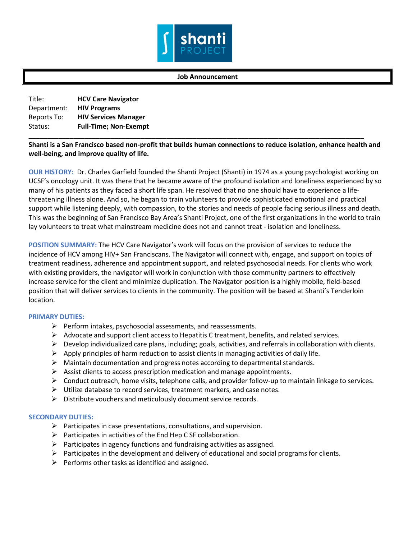

## **Job Announcement**

Title: **HCV Care Navigator** Department: **HIV Programs** Reports To: **HIV Services Manager** Status: **Full-Time; Non-Exempt**

**Shanti is a San Francisco based non-profit that builds human connections to reduce isolation, enhance health and well-being, and improve quality of life.** 

**\_\_\_\_\_\_\_\_\_\_\_\_\_\_\_\_\_\_\_\_\_\_\_\_\_\_\_\_\_\_\_\_\_\_\_\_\_\_\_\_\_\_\_\_\_\_\_\_\_\_\_\_\_\_\_\_\_\_\_\_\_\_\_\_\_\_\_\_\_\_\_\_\_\_\_\_\_\_\_\_\_\_\_\_\_\_\_\_\_\_**

**OUR HISTORY:** Dr. Charles Garfield founded the Shanti Project (Shanti) in 1974 as a young psychologist working on UCSF's oncology unit. It was there that he became aware of the profound isolation and loneliness experienced by so many of his patients as they faced a short life span. He resolved that no one should have to experience a lifethreatening illness alone. And so, he began to train volunteers to provide sophisticated emotional and practical support while listening deeply, with compassion, to the stories and needs of people facing serious illness and death. This was the beginning of San Francisco Bay Area's Shanti Project, one of the first organizations in the world to train lay volunteers to treat what mainstream medicine does not and cannot treat - isolation and loneliness.

**POSITION SUMMARY:** The HCV Care Navigator's work will focus on the provision of services to reduce the incidence of HCV among HIV+ San Franciscans. The Navigator will connect with, engage, and support on topics of treatment readiness, adherence and appointment support, and related psychosocial needs. For clients who work with existing providers, the navigator will work in conjunction with those community partners to effectively increase service for the client and minimize duplication. The Navigator position is a highly mobile, field-based position that will deliver services to clients in the community. The position will be based at Shanti's Tenderloin location.

## **PRIMARY DUTIES:**

- $\triangleright$  Perform intakes, psychosocial assessments, and reassessments.
- $\triangleright$  Advocate and support client access to Hepatitis C treatment, benefits, and related services.
- Develop individualized care plans, including; goals, activities, and referrals in collaboration with clients.
- $\triangleright$  Apply principles of harm reduction to assist clients in managing activities of daily life.
- $\triangleright$  Maintain documentation and progress notes according to departmental standards.
- $\triangleright$  Assist clients to access prescription medication and manage appointments.
- $\triangleright$  Conduct outreach, home visits, telephone calls, and provider follow-up to maintain linkage to services.
- $\triangleright$  Utilize database to record services, treatment markers, and case notes.
- $\triangleright$  Distribute vouchers and meticulously document service records.

## **SECONDARY DUTIES:**

- $\triangleright$  Participates in case presentations, consultations, and supervision.
- $\triangleright$  Participates in activities of the End Hep C SF collaboration.
- $\triangleright$  Participates in agency functions and fundraising activities as assigned.
- $\triangleright$  Participates in the development and delivery of educational and social programs for clients.
- $\triangleright$  Performs other tasks as identified and assigned.